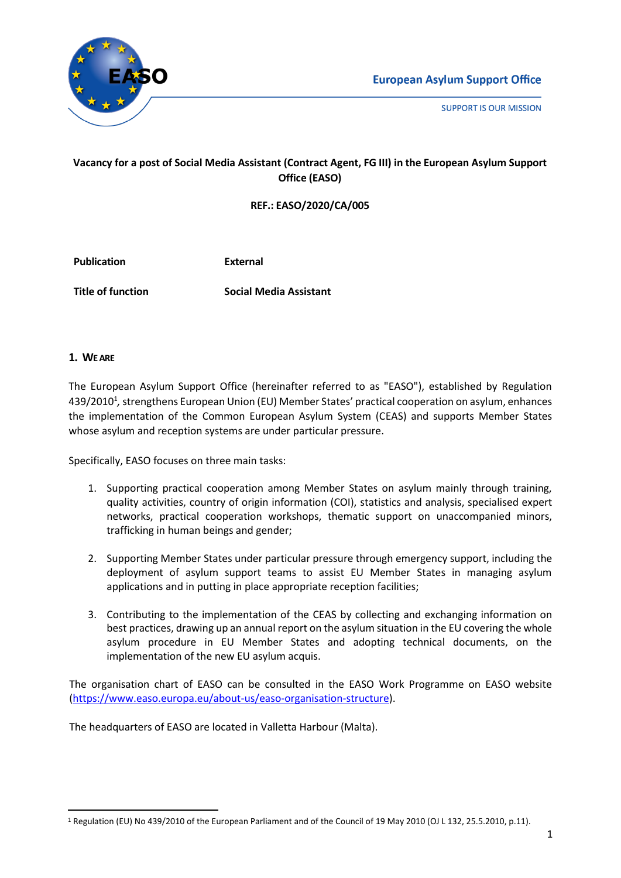





# **Vacancy for a post of Social Media Assistant (Contract Agent, FG III) in the European Asylum Support Office (EASO)**

**REF.: EASO/2020/CA/005**

**Publication External**

**Title of function Social Media Assistant**

### **1. WE ARE**

The European Asylum Support Office (hereinafter referred to as "EASO"), established by Regulation 439/2010<sup>1</sup>, strengthens European Union (EU) Member States' practical cooperation on asylum, enhances the implementation of the Common European Asylum System (CEAS) and supports Member States whose asylum and reception systems are under particular pressure.

Specifically, EASO focuses on three main tasks:

- 1. Supporting practical cooperation among Member States on asylum mainly through training, quality activities, country of origin information (COI), statistics and analysis, specialised expert networks, practical cooperation workshops, thematic support on unaccompanied minors, trafficking in human beings and gender;
- 2. Supporting Member States under particular pressure through emergency support, including the deployment of asylum support teams to assist EU Member States in managing asylum applications and in putting in place appropriate reception facilities;
- 3. Contributing to the implementation of the CEAS by collecting and exchanging information on best practices, drawing up an annual report on the asylum situation in the EU covering the whole asylum procedure in EU Member States and adopting technical documents, on the implementation of the new EU asylum acquis.

The organisation chart of EASO can be consulted in the EASO Work Programme on EASO website [\(https://www.easo.europa.eu/about-us/easo-organisation-structure\)](https://www.easo.europa.eu/about-us/easo-organisation-structure).

The headquarters of EASO are located in Valletta Harbour (Malta).

<sup>1</sup> Regulation (EU) No 439/2010 of the European Parliament and of the Council of 19 May 2010 (OJ L 132, 25.5.2010, p.11).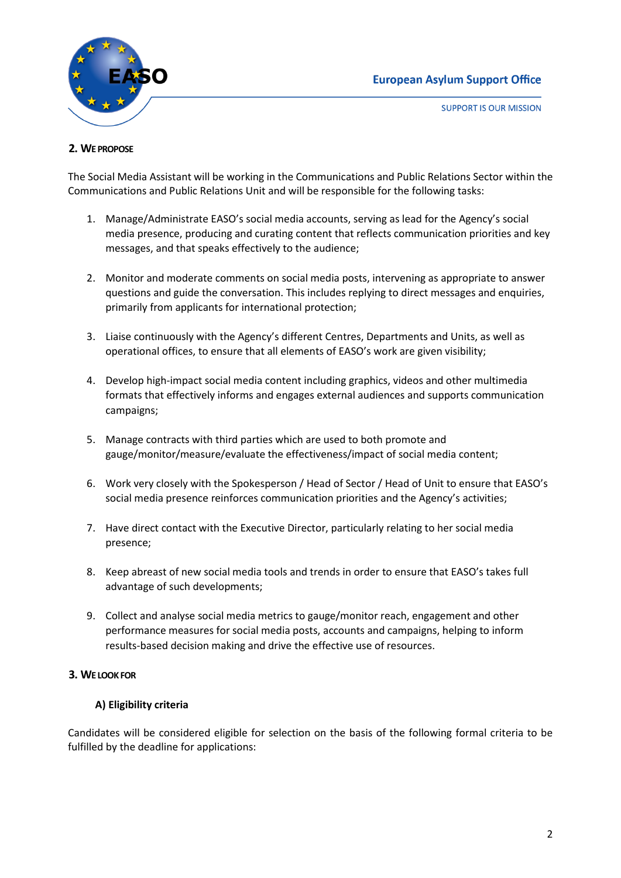

**SUPPORT IS OUR MISSION** 

# **2. WE PROPOSE**

The Social Media Assistant will be working in the Communications and Public Relations Sector within the Communications and Public Relations Unit and will be responsible for the following tasks:

- 1. Manage/Administrate EASO's social media accounts, serving as lead for the Agency's social media presence, producing and curating content that reflects communication priorities and key messages, and that speaks effectively to the audience;
- 2. Monitor and moderate comments on social media posts, intervening as appropriate to answer questions and guide the conversation. This includes replying to direct messages and enquiries, primarily from applicants for international protection;
- 3. Liaise continuously with the Agency's different Centres, Departments and Units, as well as operational offices, to ensure that all elements of EASO's work are given visibility;
- 4. Develop high-impact social media content including graphics, videos and other multimedia formats that effectively informs and engages external audiences and supports communication campaigns;
- 5. Manage contracts with third parties which are used to both promote and gauge/monitor/measure/evaluate the effectiveness/impact of social media content;
- 6. Work very closely with the Spokesperson / Head of Sector / Head of Unit to ensure that EASO's social media presence reinforces communication priorities and the Agency's activities;
- 7. Have direct contact with the Executive Director, particularly relating to her social media presence;
- 8. Keep abreast of new social media tools and trends in order to ensure that EASO's takes full advantage of such developments;
- 9. Collect and analyse social media metrics to gauge/monitor reach, engagement and other performance measures for social media posts, accounts and campaigns, helping to inform results-based decision making and drive the effective use of resources.

# **3. WE LOOK FOR**

# **A) Eligibility criteria**

Candidates will be considered eligible for selection on the basis of the following formal criteria to be fulfilled by the deadline for applications: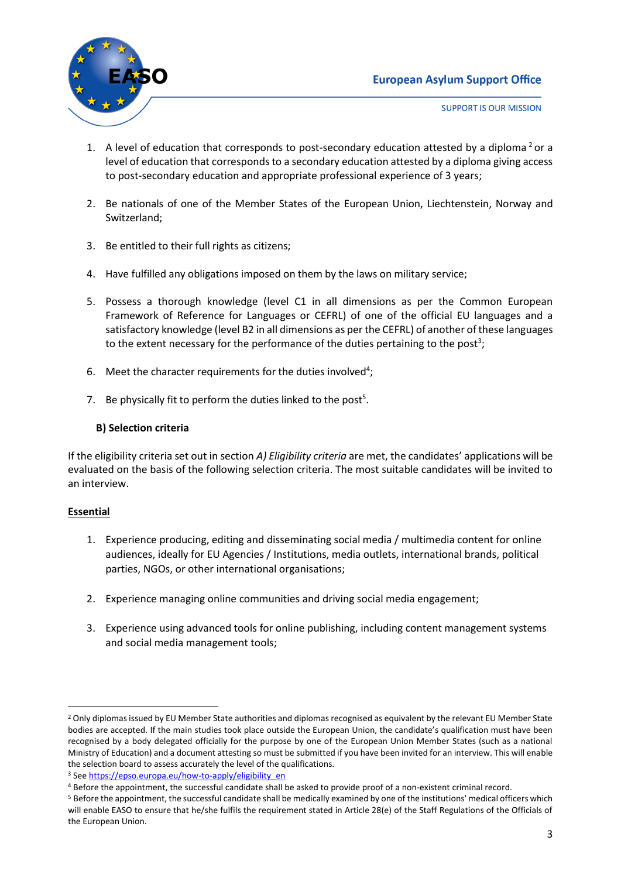# **European Asylum Support Office**



**SUPPORT IS OUR MISSION** 

- 1. A level of education that corresponds to post-secondary education attested by a diploma<sup>2</sup> or a level of education that corresponds to a secondary education attested by a diploma giving access to post-secondary education and appropriate professional experience of 3 years;
- 2. Be nationals of one of the Member States of the European Union, Liechtenstein, Norway and Switzerland;
- 3. Be entitled to their full rights as citizens;
- 4. Have fulfilled any obligations imposed on them by the laws on military service;
- 5. Possess a thorough knowledge (level C1 in all dimensions as per the Common European Framework of Reference for Languages or CEFRL) of one of the official EU languages and a satisfactory knowledge (level B2 in all dimensions as per the CEFRL) of another of these languages to the extent necessary for the performance of the duties pertaining to the post<sup>3</sup>;
- 6. Meet the character requirements for the duties involved<sup>4</sup>;
- 7. Be physically fit to perform the duties linked to the post<sup>5</sup>.

# **B) Selection criteria**

If the eligibility criteria set out in section *A) Eligibility criteria* are met, the candidates' applications will be evaluated on the basis of the following selection criteria. The most suitable candidates will be invited to an interview.

# **Essential**

- 1. Experience producing, editing and disseminating social media / multimedia content for online audiences, ideally for EU Agencies / Institutions, media outlets, international brands, political parties, NGOs, or other international organisations;
- 2. Experience managing online communities and driving social media engagement;
- 3. Experience using advanced tools for online publishing, including content management systems and social media management tools;

<sup>&</sup>lt;sup>2</sup> Only diplomas issued by EU Member State authorities and diplomas recognised as equivalent by the relevant EU Member State bodies are accepted. If the main studies took place outside the European Union, the candidate's qualification must have been recognised by a body delegated officially for the purpose by one of the European Union Member States (such as a national Ministry of Education) and a document attesting so must be submitted if you have been invited for an interview. This will enable the selection board to assess accurately the level of the qualifications.

<sup>&</sup>lt;sup>3</sup> Se[e https://epso.europa.eu/how-to-apply/eligibility\\_en](https://epso.europa.eu/how-to-apply/eligibility_en)

<sup>4</sup> Before the appointment, the successful candidate shall be asked to provide proof of a non-existent criminal record.

<sup>&</sup>lt;sup>5</sup> Before the appointment, the successful candidate shall be medically examined by one of the institutions' medical officers which will enable EASO to ensure that he/she fulfils the requirement stated in Article 28(e) of the Staff Regulations of the Officials of the European Union.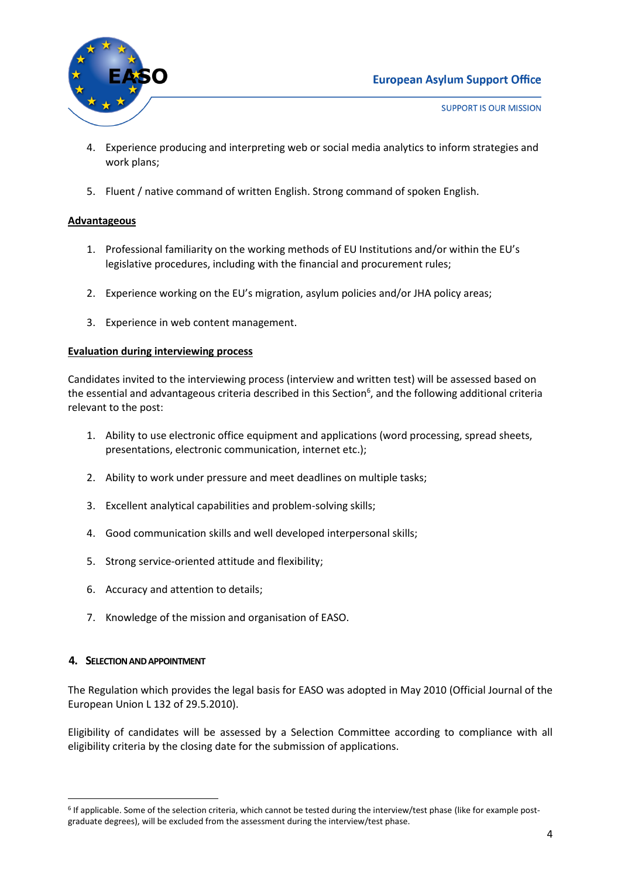

- 4. Experience producing and interpreting web or social media analytics to inform strategies and work plans;
- 5. Fluent / native command of written English. Strong command of spoken English.

# **Advantageous**

- 1. Professional familiarity on the working methods of EU Institutions and/or within the EU's legislative procedures, including with the financial and procurement rules;
- 2. Experience working on the EU's migration, asylum policies and/or JHA policy areas;
- 3. Experience in web content management.

### **Evaluation during interviewing process**

Candidates invited to the interviewing process (interview and written test) will be assessed based on the essential and advantageous criteria described in this Section<sup>6</sup>, and the following additional criteria relevant to the post:

- 1. Ability to use electronic office equipment and applications (word processing, spread sheets, presentations, electronic communication, internet etc.);
- 2. Ability to work under pressure and meet deadlines on multiple tasks;
- 3. Excellent analytical capabilities and problem-solving skills;
- 4. Good communication skills and well developed interpersonal skills;
- 5. Strong service-oriented attitude and flexibility;
- 6. Accuracy and attention to details;
- 7. Knowledge of the mission and organisation of EASO.

#### **4. SELECTION AND APPOINTMENT**

The Regulation which provides the legal basis for EASO was adopted in May 2010 (Official Journal of the European Union L 132 of 29.5.2010).

Eligibility of candidates will be assessed by a Selection Committee according to compliance with all eligibility criteria by the closing date for the submission of applications.

<sup>&</sup>lt;sup>6</sup> If applicable. Some of the selection criteria, which cannot be tested during the interview/test phase (like for example postgraduate degrees), will be excluded from the assessment during the interview/test phase.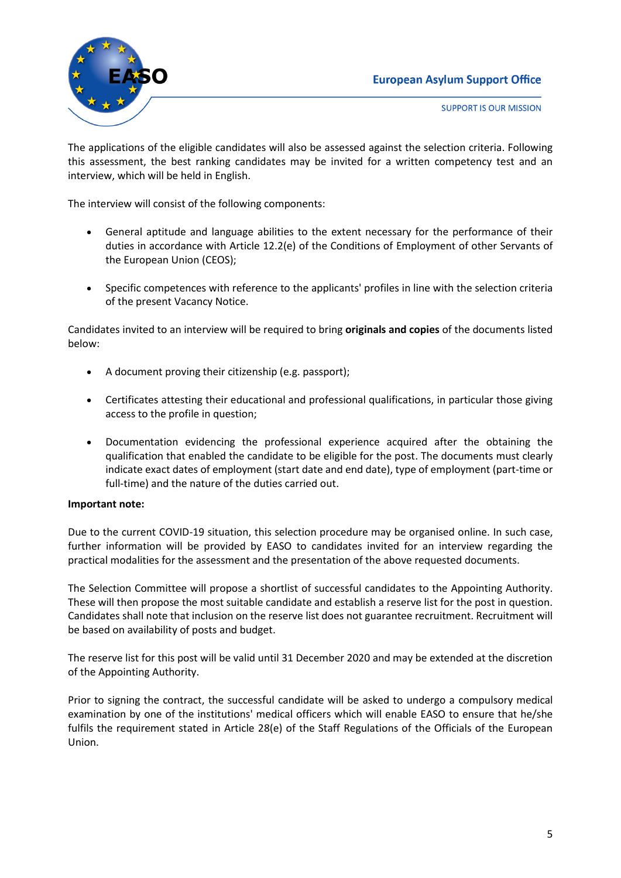# **European Asylum Support Office**



**SUPPORT IS OUR MISSION** 

The applications of the eligible candidates will also be assessed against the selection criteria. Following this assessment, the best ranking candidates may be invited for a written competency test and an interview, which will be held in English.

The interview will consist of the following components:

- General aptitude and language abilities to the extent necessary for the performance of their duties in accordance with Article 12.2(e) of the Conditions of Employment of other Servants of the European Union (CEOS);
- Specific competences with reference to the applicants' profiles in line with the selection criteria of the present Vacancy Notice.

Candidates invited to an interview will be required to bring **originals and copies** of the documents listed below:

- A document proving their citizenship (e.g. passport);
- Certificates attesting their educational and professional qualifications, in particular those giving access to the profile in question;
- Documentation evidencing the professional experience acquired after the obtaining the qualification that enabled the candidate to be eligible for the post. The documents must clearly indicate exact dates of employment (start date and end date), type of employment (part-time or full-time) and the nature of the duties carried out.

# **Important note:**

Due to the current COVID-19 situation, this selection procedure may be organised online. In such case, further information will be provided by EASO to candidates invited for an interview regarding the practical modalities for the assessment and the presentation of the above requested documents.

The Selection Committee will propose a shortlist of successful candidates to the Appointing Authority. These will then propose the most suitable candidate and establish a reserve list for the post in question. Candidates shall note that inclusion on the reserve list does not guarantee recruitment. Recruitment will be based on availability of posts and budget.

The reserve list for this post will be valid until 31 December 2020 and may be extended at the discretion of the Appointing Authority.

Prior to signing the contract, the successful candidate will be asked to undergo a compulsory medical examination by one of the institutions' medical officers which will enable EASO to ensure that he/she fulfils the requirement stated in Article 28(e) of the Staff Regulations of the Officials of the European Union.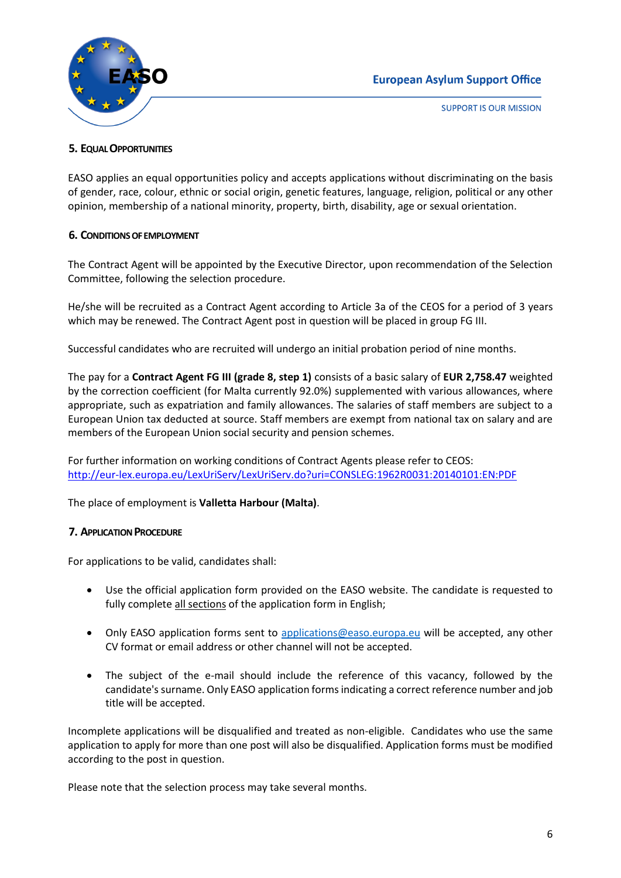



**SUPPORT IS OUR MISSION** 

# **5. EQUAL OPPORTUNITIES**

EASO applies an equal opportunities policy and accepts applications without discriminating on the basis of gender, race, colour, ethnic or social origin, genetic features, language, religion, political or any other opinion, membership of a national minority, property, birth, disability, age or sexual orientation.

### **6. CONDITIONS OF EMPLOYMENT**

The Contract Agent will be appointed by the Executive Director, upon recommendation of the Selection Committee, following the selection procedure.

He/she will be recruited as a Contract Agent according to Article 3a of the CEOS for a period of 3 years which may be renewed. The Contract Agent post in question will be placed in group FG III.

Successful candidates who are recruited will undergo an initial probation period of nine months.

The pay for a **Contract Agent FG III (grade 8, step 1)** consists of a basic salary of **EUR 2,758.47** weighted by the correction coefficient (for Malta currently 92.0%) supplemented with various allowances, where appropriate, such as expatriation and family allowances. The salaries of staff members are subject to a European Union tax deducted at source. Staff members are exempt from national tax on salary and are members of the European Union social security and pension schemes.

For further information on working conditions of Contract Agents please refer to CEOS: <http://eur-lex.europa.eu/LexUriServ/LexUriServ.do?uri=CONSLEG:1962R0031:20140101:EN:PDF>

The place of employment is **Valletta Harbour (Malta)**.

#### **7. APPLICATION PROCEDURE**

For applications to be valid, candidates shall:

- Use the official application form provided on the EASO website. The candidate is requested to fully complete all sections of the application form in English;
- Only EASO application forms sent to [applications@easo.europa.eu](mailto:applications@easo.europa.eu) will be accepted, any other CV format or email address or other channel will not be accepted.
- The subject of the e-mail should include the reference of this vacancy, followed by the candidate's surname. Only EASO application forms indicating a correct reference number and job title will be accepted.

Incomplete applications will be disqualified and treated as non-eligible. Candidates who use the same application to apply for more than one post will also be disqualified. Application forms must be modified according to the post in question.

Please note that the selection process may take several months.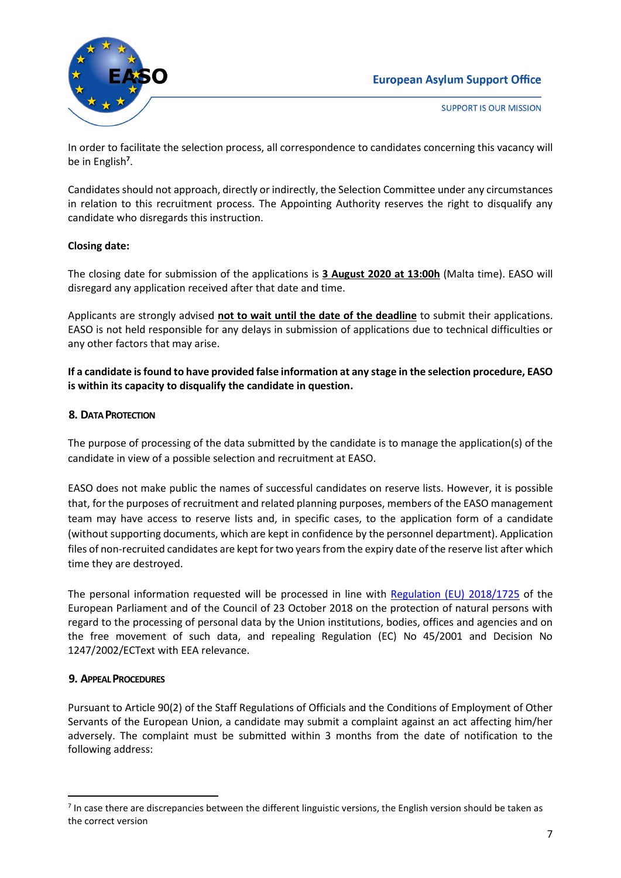# **European Asylum Support Office**



**SUPPORT IS OUR MISSION** 

In order to facilitate the selection process, all correspondence to candidates concerning this vacancy will be in English**<sup>7</sup>** .

Candidates should not approach, directly or indirectly, the Selection Committee under any circumstances in relation to this recruitment process. The Appointing Authority reserves the right to disqualify any candidate who disregards this instruction.

# **Closing date:**

The closing date for submission of the applications is **3 August 2020 at 13:00h** (Malta time). EASO will disregard any application received after that date and time.

Applicants are strongly advised **not to wait until the date of the deadline** to submit their applications. EASO is not held responsible for any delays in submission of applications due to technical difficulties or any other factors that may arise.

**If a candidate is found to have provided false information at any stage in the selection procedure, EASO is within its capacity to disqualify the candidate in question.**

### **8. DATA PROTECTION**

The purpose of processing of the data submitted by the candidate is to manage the application(s) of the candidate in view of a possible selection and recruitment at EASO.

EASO does not make public the names of successful candidates on reserve lists. However, it is possible that, for the purposes of recruitment and related planning purposes, members of the EASO management team may have access to reserve lists and, in specific cases, to the application form of a candidate (without supporting documents, which are kept in confidence by the personnel department). Application files of non-recruited candidates are kept for two years from the expiry date of the reserve list after which time they are destroyed.

The personal information requested will be processed in line with [Regulation \(EU\) 2018/1725](https://eur-lex.europa.eu/legal-content/EN/TXT/?uri=CELEX%3A32018R1725) of the European Parliament and of the Council of 23 October 2018 on the protection of natural persons with regard to the processing of personal data by the Union institutions, bodies, offices and agencies and on the free movement of such data, and repealing Regulation (EC) No 45/2001 and Decision No 1247/2002/ECText with EEA relevance.

# **9. APPEAL PROCEDURES**

Pursuant to Article 90(2) of the Staff Regulations of Officials and the Conditions of Employment of Other Servants of the European Union, a candidate may submit a complaint against an act affecting him/her adversely. The complaint must be submitted within 3 months from the date of notification to the following address:

<sup>&</sup>lt;sup>7</sup> In case there are discrepancies between the different linguistic versions, the English version should be taken as the correct version